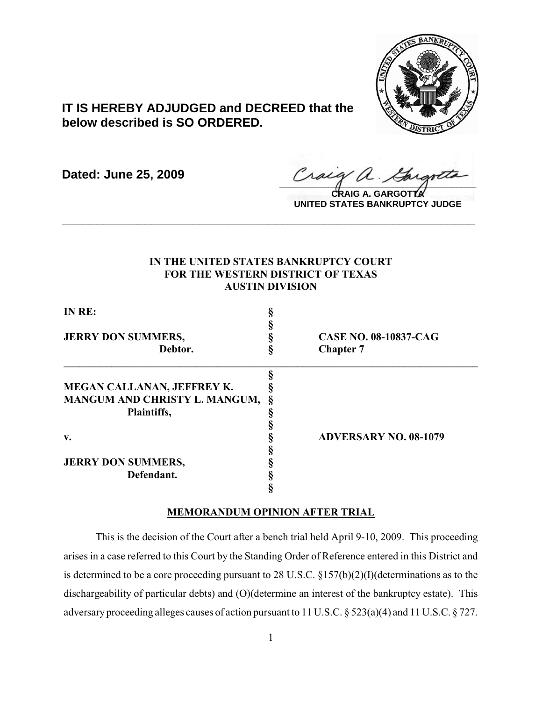

# **IT IS HEREBY ADJUDGED and DECREED that the below described is SO ORDERED.**

**Dated: June 25, 2009**

 $\frac{1}{2}$ 

**CRAIG A. GARGOTTA UNITED STATES BANKRUPTCY JUDGE**

## **IN THE UNITED STATES BANKRUPTCY COURT FOR THE WESTERN DISTRICT OF TEXAS AUSTIN DIVISION**

**\_\_\_\_\_\_\_\_\_\_\_\_\_\_\_\_\_\_\_\_\_\_\_\_\_\_\_\_\_\_\_\_\_\_\_\_\_\_\_\_\_\_\_\_\_\_\_\_\_\_\_\_\_\_\_\_\_\_\_\_**

| IN RE:                        |   |                              |
|-------------------------------|---|------------------------------|
|                               |   |                              |
| <b>JERRY DON SUMMERS,</b>     |   | <b>CASE NO. 08-10837-CAG</b> |
| Debtor.                       |   | <b>Chapter 7</b>             |
|                               |   |                              |
| MEGAN CALLANAN, JEFFREY K.    |   |                              |
| MANGUM AND CHRISTY L. MANGUM, | 8 |                              |
| Plaintiffs,                   |   |                              |
|                               |   |                              |
| v.                            |   | <b>ADVERSARY NO. 08-1079</b> |
|                               |   |                              |
| <b>JERRY DON SUMMERS,</b>     |   |                              |
| Defendant.                    |   |                              |
|                               |   |                              |

## **MEMORANDUM OPINION AFTER TRIAL**

This is the decision of the Court after a bench trial held April 9-10, 2009. This proceeding arises in a case referred to this Court by the Standing Order of Reference entered in this District and is determined to be a core proceeding pursuant to 28 U.S.C. §157(b)(2)(I)(determinations as to the dischargeability of particular debts) and (O)(determine an interest of the bankruptcy estate). This adversaryproceeding alleges causes of action pursuant to 11 U.S.C. § 523(a)(4) and 11 U.S.C. § 727.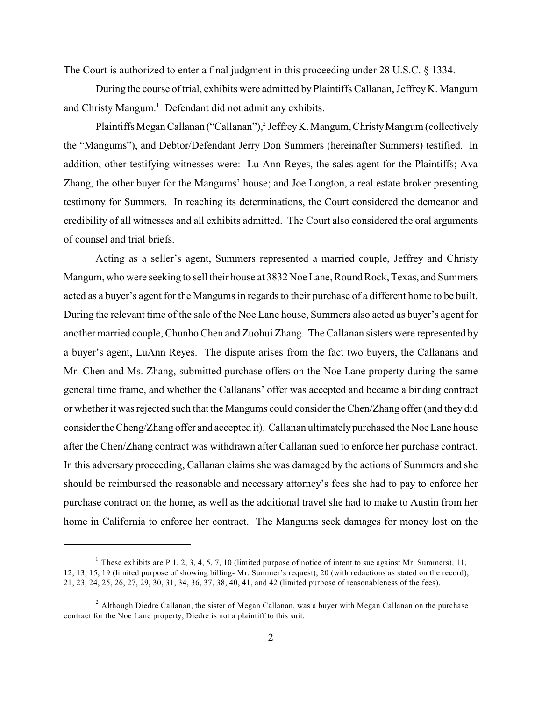The Court is authorized to enter a final judgment in this proceeding under 28 U.S.C. § 1334.

During the course of trial, exhibits were admitted by Plaintiffs Callanan, Jeffrey K. Mangum and Christy Mangum.<sup>1</sup> Defendant did not admit any exhibits.

Plaintiffs Megan Callanan ("Callanan"),<sup>2</sup> Jeffrey K. Mangum, Christy Mangum (collectively the "Mangums"), and Debtor/Defendant Jerry Don Summers (hereinafter Summers) testified. In addition, other testifying witnesses were: Lu Ann Reyes, the sales agent for the Plaintiffs; Ava Zhang, the other buyer for the Mangums' house; and Joe Longton, a real estate broker presenting testimony for Summers. In reaching its determinations, the Court considered the demeanor and credibility of all witnesses and all exhibits admitted. The Court also considered the oral arguments of counsel and trial briefs.

Acting as a seller's agent, Summers represented a married couple, Jeffrey and Christy Mangum, who were seeking to sell their house at 3832 Noe Lane, Round Rock, Texas, and Summers acted as a buyer's agent for the Mangums in regards to their purchase of a different home to be built. During the relevant time of the sale of the Noe Lane house, Summers also acted as buyer's agent for another married couple, Chunho Chen and Zuohui Zhang. The Callanan sisters were represented by a buyer's agent, LuAnn Reyes. The dispute arises from the fact two buyers, the Callanans and Mr. Chen and Ms. Zhang, submitted purchase offers on the Noe Lane property during the same general time frame, and whether the Callanans' offer was accepted and became a binding contract or whether it was rejected such that the Mangums could consider theChen/Zhang offer (and they did consider the Cheng/Zhang offer and accepted it). Callanan ultimately purchased the Noe Lane house after the Chen/Zhang contract was withdrawn after Callanan sued to enforce her purchase contract. In this adversary proceeding, Callanan claims she was damaged by the actions of Summers and she should be reimbursed the reasonable and necessary attorney's fees she had to pay to enforce her purchase contract on the home, as well as the additional travel she had to make to Austin from her home in California to enforce her contract. The Mangums seek damages for money lost on the

<sup>&</sup>lt;sup>1</sup> These exhibits are P 1, 2, 3, 4, 5, 7, 10 (limited purpose of notice of intent to sue against Mr. Summers), 11, 12, 13, 15, 19 (limited purpose of showing billing- Mr. Summer's request), 20 (with redactions as stated on the record), 21, 23, 24, 25, 26, 27, 29, 30, 31, 34, 36, 37, 38, 40, 41, and 42 (limited purpose of reasonableness of the fees).

 $^2$  Although Diedre Callanan, the sister of Megan Callanan, was a buyer with Megan Callanan on the purchase contract for the Noe Lane property, Diedre is not a plaintiff to this suit.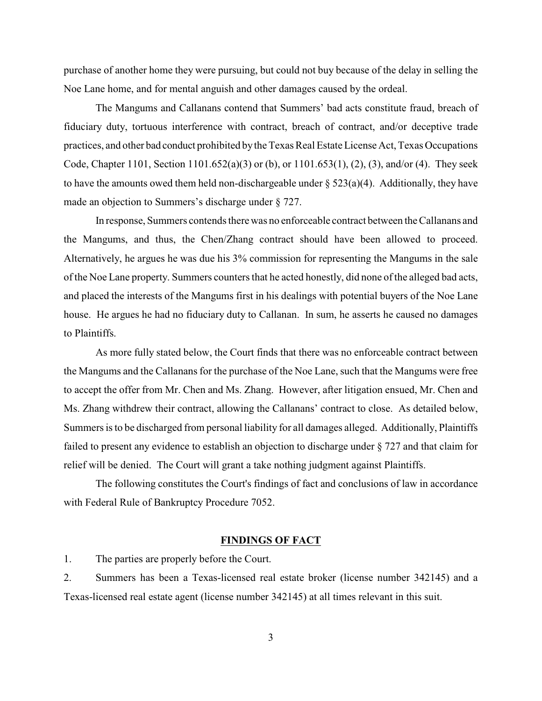purchase of another home they were pursuing, but could not buy because of the delay in selling the Noe Lane home, and for mental anguish and other damages caused by the ordeal.

The Mangums and Callanans contend that Summers' bad acts constitute fraud, breach of fiduciary duty, tortuous interference with contract, breach of contract, and/or deceptive trade practices, and other bad conduct prohibited by the Texas Real Estate License Act, Texas Occupations Code, Chapter 1101, Section 1101.652(a)(3) or (b), or 1101.653(1), (2), (3), and/or (4). They seek to have the amounts owed them held non-dischargeable under  $\S 523(a)(4)$ . Additionally, they have made an objection to Summers's discharge under § 727.

In response, Summers contends there was no enforceable contract between the Callanans and the Mangums, and thus, the Chen/Zhang contract should have been allowed to proceed. Alternatively, he argues he was due his 3% commission for representing the Mangums in the sale of the Noe Lane property. Summers counters that he acted honestly, did none ofthe alleged bad acts, and placed the interests of the Mangums first in his dealings with potential buyers of the Noe Lane house. He argues he had no fiduciary duty to Callanan. In sum, he asserts he caused no damages to Plaintiffs.

As more fully stated below, the Court finds that there was no enforceable contract between the Mangums and the Callanans for the purchase of the Noe Lane, such that the Mangums were free to accept the offer from Mr. Chen and Ms. Zhang. However, after litigation ensued, Mr. Chen and Ms. Zhang withdrew their contract, allowing the Callanans' contract to close. As detailed below, Summers is to be discharged from personal liability for all damages alleged. Additionally, Plaintiffs failed to present any evidence to establish an objection to discharge under § 727 and that claim for relief will be denied. The Court will grant a take nothing judgment against Plaintiffs.

The following constitutes the Court's findings of fact and conclusions of law in accordance with Federal Rule of Bankruptcy Procedure 7052.

### **FINDINGS OF FACT**

1. The parties are properly before the Court.

2. Summers has been a Texas-licensed real estate broker (license number 342145) and a Texas-licensed real estate agent (license number 342145) at all times relevant in this suit.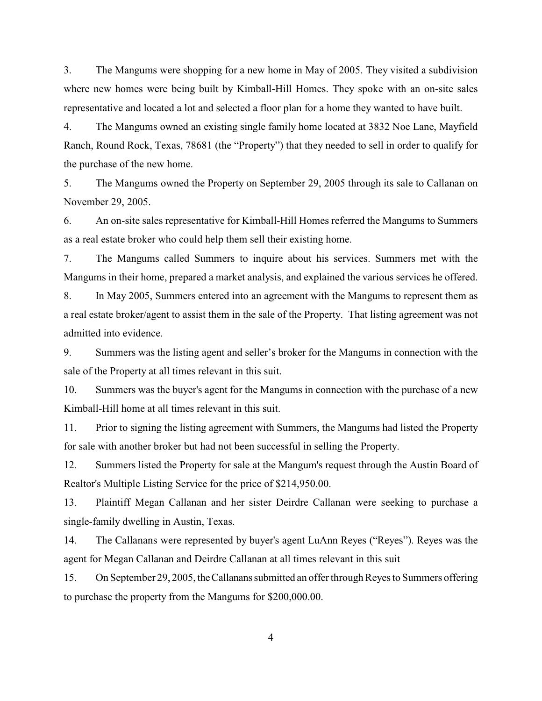3. The Mangums were shopping for a new home in May of 2005. They visited a subdivision where new homes were being built by Kimball-Hill Homes. They spoke with an on-site sales representative and located a lot and selected a floor plan for a home they wanted to have built.

4. The Mangums owned an existing single family home located at 3832 Noe Lane, Mayfield Ranch, Round Rock, Texas, 78681 (the "Property") that they needed to sell in order to qualify for the purchase of the new home.

5. The Mangums owned the Property on September 29, 2005 through its sale to Callanan on November 29, 2005.

6. An on-site sales representative for Kimball-Hill Homes referred the Mangums to Summers as a real estate broker who could help them sell their existing home.

7. The Mangums called Summers to inquire about his services. Summers met with the Mangums in their home, prepared a market analysis, and explained the various services he offered.

8. In May 2005, Summers entered into an agreement with the Mangums to represent them as a real estate broker/agent to assist them in the sale of the Property. That listing agreement was not admitted into evidence.

9. Summers was the listing agent and seller's broker for the Mangums in connection with the sale of the Property at all times relevant in this suit.

10. Summers was the buyer's agent for the Mangums in connection with the purchase of a new Kimball-Hill home at all times relevant in this suit.

11. Prior to signing the listing agreement with Summers, the Mangums had listed the Property for sale with another broker but had not been successful in selling the Property.

12. Summers listed the Property for sale at the Mangum's request through the Austin Board of Realtor's Multiple Listing Service for the price of \$214,950.00.

13. Plaintiff Megan Callanan and her sister Deirdre Callanan were seeking to purchase a single-family dwelling in Austin, Texas.

14. The Callanans were represented by buyer's agent LuAnn Reyes ("Reyes"). Reyes was the agent for Megan Callanan and Deirdre Callanan at all times relevant in this suit

15. On September 29, 2005, the Callanans submitted an offer through Reyes to Summers offering to purchase the property from the Mangums for \$200,000.00.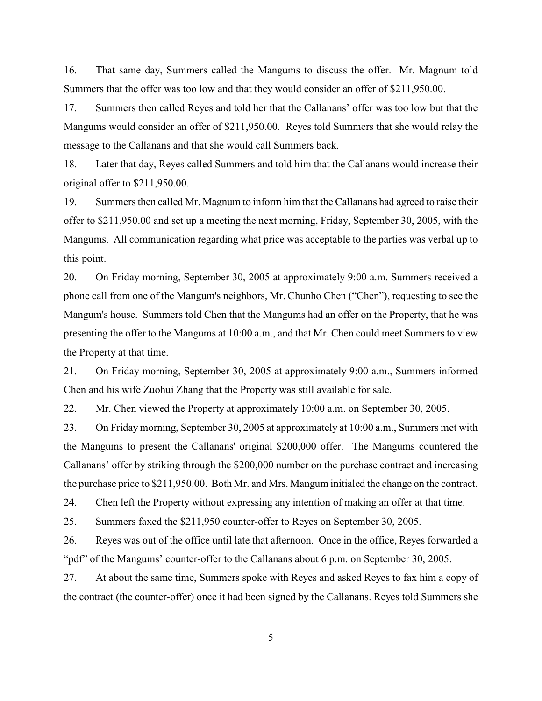16. That same day, Summers called the Mangums to discuss the offer. Mr. Magnum told Summers that the offer was too low and that they would consider an offer of \$211,950.00.

17. Summers then called Reyes and told her that the Callanans' offer was too low but that the Mangums would consider an offer of \$211,950.00. Reyes told Summers that she would relay the message to the Callanans and that she would call Summers back.

18. Later that day, Reyes called Summers and told him that the Callanans would increase their original offer to \$211,950.00.

19. Summers then called Mr. Magnum to inform him that the Callanans had agreed to raise their offer to \$211,950.00 and set up a meeting the next morning, Friday, September 30, 2005, with the Mangums. All communication regarding what price was acceptable to the parties was verbal up to this point.

20. On Friday morning, September 30, 2005 at approximately 9:00 a.m. Summers received a phone call from one of the Mangum's neighbors, Mr. Chunho Chen ("Chen"), requesting to see the Mangum's house. Summers told Chen that the Mangums had an offer on the Property, that he was presenting the offer to the Mangums at 10:00 a.m., and that Mr. Chen could meet Summers to view the Property at that time.

21. On Friday morning, September 30, 2005 at approximately 9:00 a.m., Summers informed Chen and his wife Zuohui Zhang that the Property was still available for sale.

22. Mr. Chen viewed the Property at approximately 10:00 a.m. on September 30, 2005.

23. On Friday morning, September 30, 2005 at approximately at 10:00 a.m., Summers met with the Mangums to present the Callanans' original \$200,000 offer. The Mangums countered the Callanans' offer by striking through the \$200,000 number on the purchase contract and increasing the purchase price to \$211,950.00. Both Mr. and Mrs. Mangum initialed the change on the contract.

24. Chen left the Property without expressing any intention of making an offer at that time.

25. Summers faxed the \$211,950 counter-offer to Reyes on September 30, 2005.

26. Reyes was out of the office until late that afternoon. Once in the office, Reyes forwarded a "pdf" of the Mangums' counter-offer to the Callanans about 6 p.m. on September 30, 2005.

27. At about the same time, Summers spoke with Reyes and asked Reyes to fax him a copy of the contract (the counter-offer) once it had been signed by the Callanans. Reyes told Summers she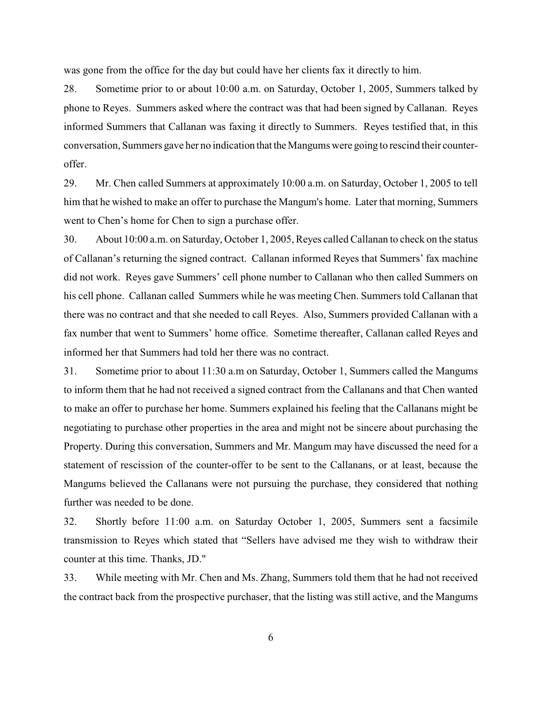was gone from the office for the day but could have her clients fax it directly to him.

28. Sometime prior to or about 10:00 a.m. on Saturday, October 1, 2005, Summers talked by phone to Reyes. Summers asked where the contract was that had been signed by Callanan. Reyes informed Summers that Callanan was faxing it directly to Summers. Reyes testified that, in this conversation, Summers gave her no indication that the Mangums were going to rescind their counteroffer.

29. Mr. Chen called Summers at approximately 10:00 a.m. on Saturday, October 1, 2005 to tell him that he wished to make an offer to purchase the Mangum's home. Later that morning, Summers went to Chen's home for Chen to sign a purchase offer.

30. About 10:00 a.m. on Saturday, October 1, 2005, Reyes called Callanan to check on the status of Callanan's returning the signed contract. Callanan informed Reyes that Summers' fax machine did not work. Reyes gave Summers' cell phone number to Callanan who then called Summers on his cell phone. Callanan called Summers while he was meeting Chen. Summers told Callanan that there was no contract and that she needed to call Reyes. Also, Summers provided Callanan with a fax number that went to Summers' home office. Sometime thereafter, Callanan called Reyes and informed her that Summers had told her there was no contract.

31. Sometime prior to about 11:30 a.m on Saturday, October 1, Summers called the Mangums to inform them that he had not received a signed contract from the Callanans and that Chen wanted to make an offer to purchase her home. Summers explained his feeling that the Callanans might be negotiating to purchase other properties in the area and might not be sincere about purchasing the Property. During this conversation, Summers and Mr. Mangum may have discussed the need for a statement of rescission of the counter-offer to be sent to the Callanans, or at least, because the Mangums believed the Callanans were not pursuing the purchase, they considered that nothing further was needed to be done.

32. Shortly before 11:00 a.m. on Saturday October 1, 2005, Summers sent a facsimile transmission to Reyes which stated that "Sellers have advised me they wish to withdraw their counter at this time. Thanks, JD."

33. While meeting with Mr. Chen and Ms. Zhang, Summers told them that he had not received the contract back from the prospective purchaser, that the listing was still active, and the Mangums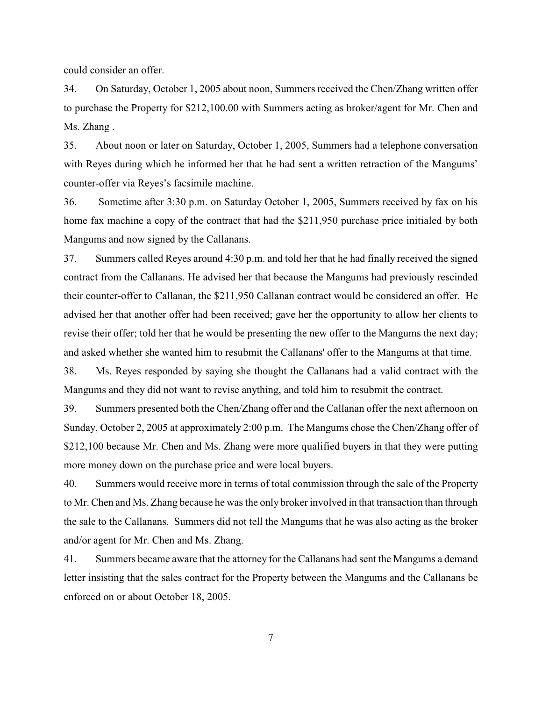could consider an offer.

34. On Saturday, October 1, 2005 about noon, Summers received the Chen/Zhang written offer to purchase the Property for \$212,100.00 with Summers acting as broker/agent for Mr. Chen and Ms. Zhang .

35. About noon or later on Saturday, October 1, 2005, Summers had a telephone conversation with Reyes during which he informed her that he had sent a written retraction of the Mangums' counter-offer via Reyes's facsimile machine.

36. Sometime after 3:30 p.m. on Saturday October 1, 2005, Summers received by fax on his home fax machine a copy of the contract that had the \$211,950 purchase price initialed by both Mangums and now signed by the Callanans.

37. Summers called Reyes around 4:30 p.m. and told her that he had finally received the signed contract from the Callanans. He advised her that because the Mangums had previously rescinded their counter-offer to Callanan, the \$211,950 Callanan contract would be considered an offer. He advised her that another offer had been received; gave her the opportunity to allow her clients to revise their offer; told her that he would be presenting the new offer to the Mangums the next day; and asked whether she wanted him to resubmit the Callanans' offer to the Mangums at that time.

38. Ms. Reyes responded by saying she thought the Callanans had a valid contract with the Mangums and they did not want to revise anything, and told him to resubmit the contract.

39. Summers presented both the Chen/Zhang offer and the Callanan offer the next afternoon on Sunday, October 2, 2005 at approximately 2:00 p.m. The Mangums chose the Chen/Zhang offer of \$212,100 because Mr. Chen and Ms. Zhang were more qualified buyers in that they were putting more money down on the purchase price and were local buyers.

40. Summers would receive more in terms of total commission through the sale of the Property to Mr. Chen and Ms. Zhang because he wasthe only broker involved in that transaction than through the sale to the Callanans. Summers did not tell the Mangums that he was also acting as the broker and/or agent for Mr. Chen and Ms. Zhang.

41. Summers became aware that the attorney for the Callanans had sent the Mangums a demand letter insisting that the sales contract for the Property between the Mangums and the Callanans be enforced on or about October 18, 2005.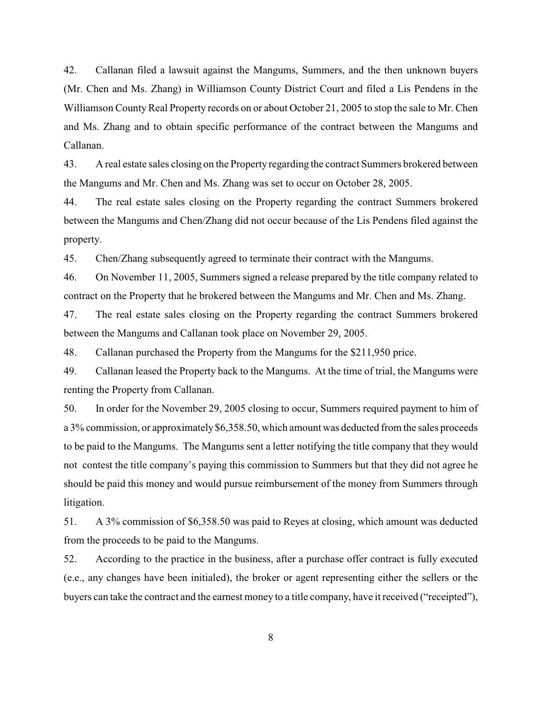42. Callanan filed a lawsuit against the Mangums, Summers, and the then unknown buyers (Mr. Chen and Ms. Zhang) in Williamson County District Court and filed a Lis Pendens in the Williamson County Real Property records on or about October 21, 2005 to stop the sale to Mr. Chen and Ms. Zhang and to obtain specific performance of the contract between the Mangums and Callanan.

43. A real estate sales closing on the Property regarding the contract Summers brokered between the Mangums and Mr. Chen and Ms. Zhang was set to occur on October 28, 2005.

44. The real estate sales closing on the Property regarding the contract Summers brokered between the Mangums and Chen/Zhang did not occur because of the Lis Pendens filed against the property.

45. Chen/Zhang subsequently agreed to terminate their contract with the Mangums.

46. On November 11, 2005, Summers signed a release prepared by the title company related to contract on the Property that he brokered between the Mangums and Mr. Chen and Ms. Zhang.

47. The real estate sales closing on the Property regarding the contract Summers brokered between the Mangums and Callanan took place on November 29, 2005.

48. Callanan purchased the Property from the Mangums for the \$211,950 price.

49. Callanan leased the Property back to the Mangums. At the time of trial, the Mangums were renting the Property from Callanan.

50. In order for the November 29, 2005 closing to occur, Summers required payment to him of a 3% commission, or approximately \$6,358.50, which amount was deducted from the sales proceeds to be paid to the Mangums. The Mangums sent a letter notifying the title company that they would not contest the title company's paying this commission to Summers but that they did not agree he should be paid this money and would pursue reimbursement of the money from Summers through litigation.

51. A 3% commission of \$6,358.50 was paid to Reyes at closing, which amount was deducted from the proceeds to be paid to the Mangums.

52. According to the practice in the business, after a purchase offer contract is fully executed (e.e., any changes have been initialed), the broker or agent representing either the sellers or the buyers can take the contract and the earnest money to a title company, have it received ("receipted"),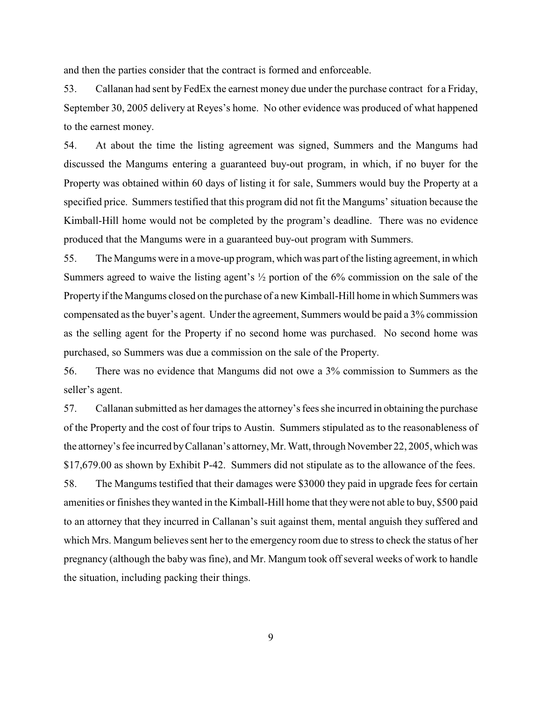and then the parties consider that the contract is formed and enforceable.

53. Callanan had sent by FedEx the earnest money due under the purchase contract for a Friday, September 30, 2005 delivery at Reyes's home. No other evidence was produced of what happened to the earnest money.

54. At about the time the listing agreement was signed, Summers and the Mangums had discussed the Mangums entering a guaranteed buy-out program, in which, if no buyer for the Property was obtained within 60 days of listing it for sale, Summers would buy the Property at a specified price. Summers testified that this program did not fit the Mangums' situation because the Kimball-Hill home would not be completed by the program's deadline. There was no evidence produced that the Mangums were in a guaranteed buy-out program with Summers.

55. The Mangums were in a move-up program, which was part of the listing agreement, in which Summers agreed to waive the listing agent's ½ portion of the 6% commission on the sale of the Property if the Mangums closed on the purchase of a new Kimball-Hill home in which Summers was compensated as the buyer's agent. Under the agreement, Summers would be paid a 3% commission as the selling agent for the Property if no second home was purchased. No second home was purchased, so Summers was due a commission on the sale of the Property.

56. There was no evidence that Mangums did not owe a 3% commission to Summers as the seller's agent.

57. Callanan submitted as her damages the attorney's fees she incurred in obtaining the purchase of the Property and the cost of four trips to Austin. Summers stipulated as to the reasonableness of the attorney's fee incurred by Callanan's attorney, Mr. Watt, through November 22, 2005, which was \$17,679.00 as shown by Exhibit P-42. Summers did not stipulate as to the allowance of the fees.

58. The Mangums testified that their damages were \$3000 they paid in upgrade fees for certain amenities or finishes they wanted in the Kimball-Hill home that they were not able to buy, \$500 paid to an attorney that they incurred in Callanan's suit against them, mental anguish they suffered and which Mrs. Mangum believes sent her to the emergency room due to stress to check the status of her pregnancy (although the baby was fine), and Mr. Mangum took off several weeks of work to handle the situation, including packing their things.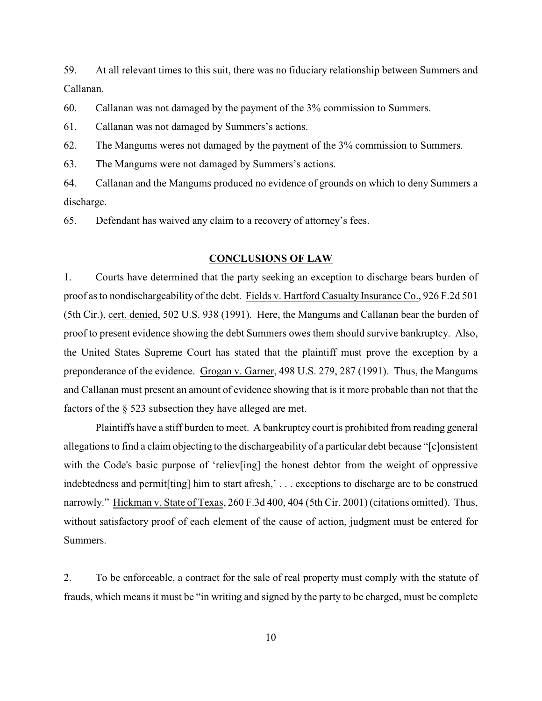59. At all relevant times to this suit, there was no fiduciary relationship between Summers and Callanan.

60. Callanan was not damaged by the payment of the 3% commission to Summers.

61. Callanan was not damaged by Summers's actions.

62. The Mangums weres not damaged by the payment of the 3% commission to Summers.

63. The Mangums were not damaged by Summers's actions.

64. Callanan and the Mangums produced no evidence of grounds on which to deny Summers a discharge.

65. Defendant has waived any claim to a recovery of attorney's fees.

#### **CONCLUSIONS OF LAW**

1. Courts have determined that the party seeking an exception to discharge bears burden of proof as to nondischargeability of the debt. Fields v. Hartford Casualty Insurance Co., 926 F.2d 501 (5th Cir.), cert. denied, 502 U.S. 938 (1991). Here, the Mangums and Callanan bear the burden of proof to present evidence showing the debt Summers owes them should survive bankruptcy. Also, the United States Supreme Court has stated that the plaintiff must prove the exception by a preponderance of the evidence. Grogan v. Garner, 498 U.S. 279, 287 (1991). Thus, the Mangums and Callanan must present an amount of evidence showing that is it more probable than not that the factors of the § 523 subsection they have alleged are met.

Plaintiffs have a stiff burden to meet. A bankruptcy court is prohibited from reading general allegations to find a claim objecting to the dischargeability of a particular debt because "[c]onsistent with the Code's basic purpose of 'reliev[ing] the honest debtor from the weight of oppressive indebtedness and permit[ting] him to start afresh,' . . . exceptions to discharge are to be construed narrowly." Hickman v. State of Texas, 260 F.3d 400, 404 (5th Cir. 2001) (citations omitted). Thus, without satisfactory proof of each element of the cause of action, judgment must be entered for Summers.

2. To be enforceable, a contract for the sale of real property must comply with the statute of frauds, which means it must be "in writing and signed by the party to be charged, must be complete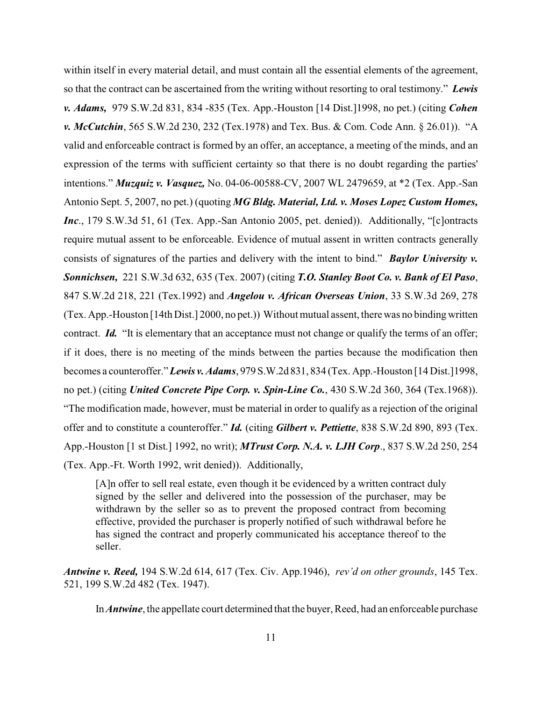within itself in every material detail, and must contain all the essential elements of the agreement, so that the contract can be ascertained from the writing without resorting to oral testimony." *Lewis v. Adams,* 979 S.W.2d 831, 834 -835 (Tex. App.-Houston [14 Dist.]1998, no pet.) (citing *Cohen v. McCutchin*, 565 S.W.2d 230, 232 (Tex.1978) and Tex. Bus. & Com. Code Ann. § 26.01)). "A valid and enforceable contract is formed by an offer, an acceptance, a meeting of the minds, and an expression of the terms with sufficient certainty so that there is no doubt regarding the parties' intentions." *Muzquiz v. Vasquez,* No. 04-06-00588-CV, 2007 WL 2479659, at \*2 (Tex. App.-San Antonio Sept. 5, 2007, no pet.) (quoting *MG Bldg. Material, Ltd. v. Moses Lopez Custom Homes, Inc*., 179 S.W.3d 51, 61 (Tex. App.-San Antonio 2005, pet. denied)). Additionally, "[c]ontracts require mutual assent to be enforceable. Evidence of mutual assent in written contracts generally consists of signatures of the parties and delivery with the intent to bind." *Baylor University v. Sonnichsen,* 221 S.W.3d 632, 635 (Tex. 2007) (citing *T.O. Stanley Boot Co. v. Bank of El Paso*, 847 S.W.2d 218, 221 (Tex.1992) and *Angelou v. African Overseas Union*, 33 S.W.3d 269, 278 (Tex. App.-Houston [14th Dist.] 2000, no pet.)) Without mutual assent, there was no binding written contract. **Id.** "It is elementary that an acceptance must not change or qualify the terms of an offer; if it does, there is no meeting of the minds between the parties because the modification then becomes a counteroffer."*Lewis v. Adams*, 979 S.W.2d 831, 834 (Tex. App.-Houston [14 Dist.]1998, no pet.) (citing *United Concrete Pipe Corp. v. Spin-Line Co.*, 430 S.W.2d 360, 364 (Tex.1968)). "The modification made, however, must be material in order to qualify as a rejection of the original offer and to constitute a counteroffer." *Id.* (citing *Gilbert v. Pettiette*, 838 S.W.2d 890, 893 (Tex. App.-Houston [1 st Dist.] 1992, no writ); *MTrust Corp. N.A. v. LJH Corp*., 837 S.W.2d 250, 254 (Tex. App.-Ft. Worth 1992, writ denied)). Additionally,

[A]n offer to sell real estate, even though it be evidenced by a written contract duly signed by the seller and delivered into the possession of the purchaser, may be withdrawn by the seller so as to prevent the proposed contract from becoming effective, provided the purchaser is properly notified of such withdrawal before he has signed the contract and properly communicated his acceptance thereof to the seller.

*Antwine v. Reed,* 194 S.W.2d 614, 617 (Tex. Civ. App.1946), *rev'd on other grounds*, 145 Tex. 521, 199 S.W.2d 482 (Tex. 1947).

In *Antwine*, the appellate court determined that the buyer, Reed, had an enforceable purchase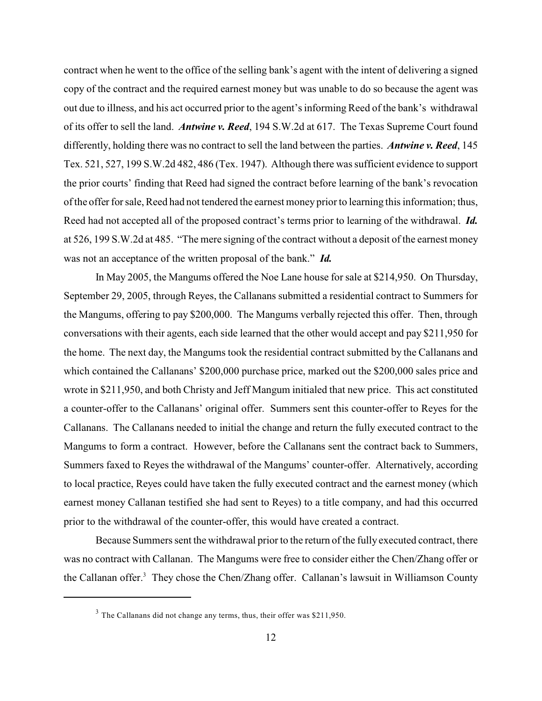contract when he went to the office of the selling bank's agent with the intent of delivering a signed copy of the contract and the required earnest money but was unable to do so because the agent was out due to illness, and his act occurred prior to the agent's informing Reed of the bank's withdrawal of its offer to sell the land. *Antwine v. Reed*, 194 S.W.2d at 617. The Texas Supreme Court found differently, holding there was no contract to sell the land between the parties. *Antwine v. Reed*, 145 Tex. 521, 527, 199 S.W.2d 482, 486 (Tex. 1947). Although there was sufficient evidence to support the prior courts' finding that Reed had signed the contract before learning of the bank's revocation ofthe offer for sale, Reed had not tendered the earnest money prior to learning this information; thus, Reed had not accepted all of the proposed contract's terms prior to learning of the withdrawal. *Id.* at 526, 199 S.W.2d at 485. "The mere signing of the contract without a deposit of the earnest money was not an acceptance of the written proposal of the bank." *Id.*

In May 2005, the Mangums offered the Noe Lane house for sale at \$214,950. On Thursday, September 29, 2005, through Reyes, the Callanans submitted a residential contract to Summers for the Mangums, offering to pay \$200,000. The Mangums verbally rejected this offer. Then, through conversations with their agents, each side learned that the other would accept and pay \$211,950 for the home. The next day, the Mangums took the residential contract submitted by the Callanans and which contained the Callanans' \$200,000 purchase price, marked out the \$200,000 sales price and wrote in \$211,950, and both Christy and Jeff Mangum initialed that new price. This act constituted a counter-offer to the Callanans' original offer. Summers sent this counter-offer to Reyes for the Callanans. The Callanans needed to initial the change and return the fully executed contract to the Mangums to form a contract. However, before the Callanans sent the contract back to Summers, Summers faxed to Reyes the withdrawal of the Mangums' counter-offer. Alternatively, according to local practice, Reyes could have taken the fully executed contract and the earnest money (which earnest money Callanan testified she had sent to Reyes) to a title company, and had this occurred prior to the withdrawal of the counter-offer, this would have created a contract.

Because Summers sent the withdrawal prior to the return of the fully executed contract, there was no contract with Callanan. The Mangums were free to consider either the Chen/Zhang offer or the Callanan offer.<sup>3</sup> They chose the Chen/Zhang offer. Callanan's lawsuit in Williamson County

 $3$  The Callanans did not change any terms, thus, their offer was \$211,950.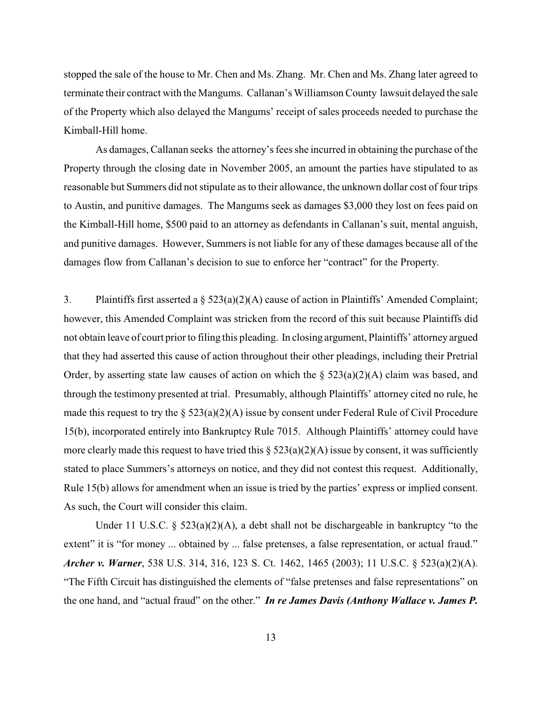stopped the sale of the house to Mr. Chen and Ms. Zhang. Mr. Chen and Ms. Zhang later agreed to terminate their contract with the Mangums. Callanan's Williamson County lawsuit delayed the sale of the Property which also delayed the Mangums' receipt of sales proceeds needed to purchase the Kimball-Hill home.

As damages, Callanan seeks the attorney's fees she incurred in obtaining the purchase of the Property through the closing date in November 2005, an amount the parties have stipulated to as reasonable but Summers did not stipulate as to their allowance, the unknown dollar cost of four trips to Austin, and punitive damages. The Mangums seek as damages \$3,000 they lost on fees paid on the Kimball-Hill home, \$500 paid to an attorney as defendants in Callanan's suit, mental anguish, and punitive damages. However, Summers is not liable for any of these damages because all of the damages flow from Callanan's decision to sue to enforce her "contract" for the Property.

3. Plaintiffs first asserted a § 523(a)(2)(A) cause of action in Plaintiffs' Amended Complaint; however, this Amended Complaint was stricken from the record of this suit because Plaintiffs did not obtain leave of court prior to filing this pleading. In closing argument, Plaintiffs' attorney argued that they had asserted this cause of action throughout their other pleadings, including their Pretrial Order, by asserting state law causes of action on which the  $\S$  523(a)(2)(A) claim was based, and through the testimony presented at trial. Presumably, although Plaintiffs' attorney cited no rule, he made this request to try the  $\S$  523(a)(2)(A) issue by consent under Federal Rule of Civil Procedure 15(b), incorporated entirely into Bankruptcy Rule 7015. Although Plaintiffs' attorney could have more clearly made this request to have tried this  $\S$  523(a)(2)(A) issue by consent, it was sufficiently stated to place Summers's attorneys on notice, and they did not contest this request. Additionally, Rule 15(b) allows for amendment when an issue is tried by the parties' express or implied consent. As such, the Court will consider this claim.

Under 11 U.S.C.  $\S$  523(a)(2)(A), a debt shall not be dischargeable in bankruptcy "to the extent" it is "for money ... obtained by ... false pretenses, a false representation, or actual fraud." *Archer v. Warner*, 538 U.S. 314, 316, 123 S. Ct. 1462, 1465 (2003); 11 U.S.C. § 523(a)(2)(A). "The Fifth Circuit has distinguished the elements of "false pretenses and false representations" on the one hand, and "actual fraud" on the other." *In re James Davis (Anthony Wallace v. James P.*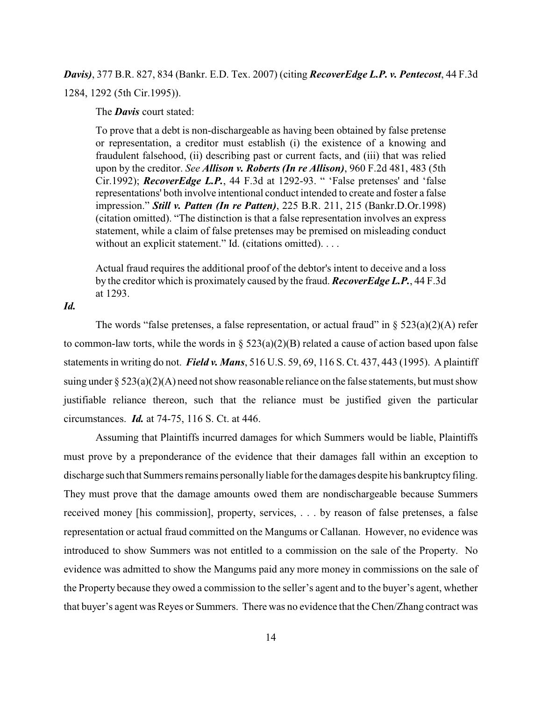*Davis)*, 377 B.R. 827, 834 (Bankr. E.D. Tex. 2007) (citing *RecoverEdge L.P. v. Pentecost*, 44 F.3d 1284, 1292 (5th Cir.1995)).

The *Davis* court stated:

To prove that a debt is non-dischargeable as having been obtained by false pretense or representation, a creditor must establish (i) the existence of a knowing and fraudulent falsehood, (ii) describing past or current facts, and (iii) that was relied upon by the creditor. *See Allison v. Roberts (In re Allison)*, 960 F.2d 481, 483 (5th Cir.1992); *RecoverEdge L.P.*, 44 F.3d at 1292-93. " 'False pretenses' and 'false representations' both involve intentional conduct intended to create and foster a false impression." *Still v. Patten (In re Patten)*, 225 B.R. 211, 215 (Bankr.D.Or.1998) (citation omitted). "The distinction is that a false representation involves an express statement, while a claim of false pretenses may be premised on misleading conduct without an explicit statement." Id. (citations omitted). . . .

Actual fraud requires the additional proof of the debtor's intent to deceive and a loss by the creditor which is proximately caused by the fraud. *RecoverEdge L.P.*, 44 F.3d at 1293.

*Id.*

The words "false pretenses, a false representation, or actual fraud" in  $\S$  523(a)(2)(A) refer to common-law torts, while the words in  $\S$  523(a)(2)(B) related a cause of action based upon false statements in writing do not. *Field v. Mans*, 516 U.S. 59, 69, 116 S. Ct. 437, 443 (1995). A plaintiff suing under  $\S 523(a)(2)(A)$  need not show reasonable reliance on the false statements, but must show justifiable reliance thereon, such that the reliance must be justified given the particular circumstances. *Id.* at 74-75, 116 S. Ct. at 446.

Assuming that Plaintiffs incurred damages for which Summers would be liable, Plaintiffs must prove by a preponderance of the evidence that their damages fall within an exception to discharge such that Summers remains personally liable for the damages despite his bankruptcy filing. They must prove that the damage amounts owed them are nondischargeable because Summers received money [his commission], property, services, . . . by reason of false pretenses, a false representation or actual fraud committed on the Mangums or Callanan. However, no evidence was introduced to show Summers was not entitled to a commission on the sale of the Property. No evidence was admitted to show the Mangums paid any more money in commissions on the sale of the Property because they owed a commission to the seller's agent and to the buyer's agent, whether that buyer's agent was Reyes or Summers. There was no evidence that the Chen/Zhang contract was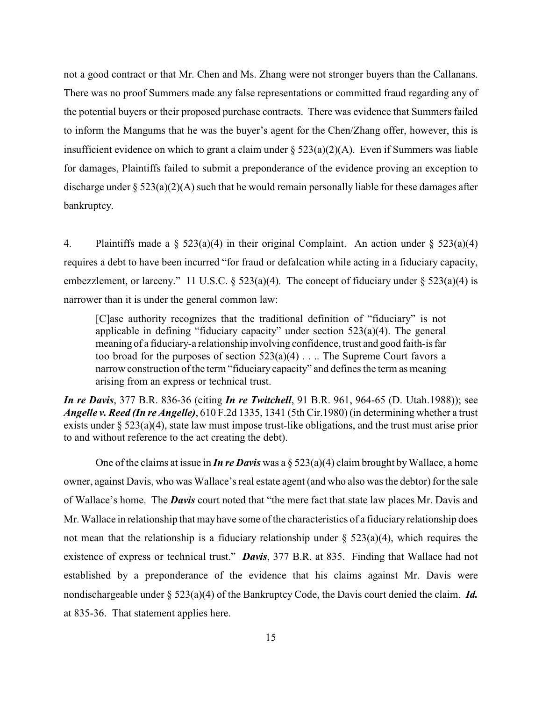not a good contract or that Mr. Chen and Ms. Zhang were not stronger buyers than the Callanans. There was no proof Summers made any false representations or committed fraud regarding any of the potential buyers or their proposed purchase contracts. There was evidence that Summers failed to inform the Mangums that he was the buyer's agent for the Chen/Zhang offer, however, this is insufficient evidence on which to grant a claim under  $\S 523(a)(2)(A)$ . Even if Summers was liable for damages, Plaintiffs failed to submit a preponderance of the evidence proving an exception to discharge under  $\S 523(a)(2)(A)$  such that he would remain personally liable for these damages after bankruptcy.

4. Plaintiffs made a  $\S$  523(a)(4) in their original Complaint. An action under  $\S$  523(a)(4) requires a debt to have been incurred "for fraud or defalcation while acting in a fiduciary capacity, embezzlement, or larceny." 11 U.S.C. § 523(a)(4). The concept of fiduciary under § 523(a)(4) is narrower than it is under the general common law:

[C]ase authority recognizes that the traditional definition of "fiduciary" is not applicable in defining "fiduciary capacity" under section 523(a)(4). The general meaning of a fiduciary-a relationship involving confidence, trust and good faith-is far too broad for the purposes of section  $523(a)(4)$ ... The Supreme Court favors a narrow construction of the term "fiduciary capacity" and defines the term as meaning arising from an express or technical trust.

*In re Davis*, 377 B.R. 836-36 (citing *In re Twitchell*, 91 B.R. 961, 964-65 (D. Utah.1988)); see *Angelle v. Reed (In re Angelle)*, 610 F.2d 1335, 1341 (5th Cir.1980) (in determining whether a trust exists under § 523(a)(4), state law must impose trust-like obligations, and the trust must arise prior to and without reference to the act creating the debt).

One of the claims at issue in *In re Davis* was a  $\S 523(a)(4)$  claim brought by Wallace, a home owner, against Davis, who was Wallace's real estate agent (and who also was the debtor) for the sale of Wallace's home. The *Davis* court noted that "the mere fact that state law places Mr. Davis and Mr. Wallace in relationship that may have some of the characteristics of a fiduciary relationship does not mean that the relationship is a fiduciary relationship under  $\S$  523(a)(4), which requires the existence of express or technical trust." *Davis*, 377 B.R. at 835. Finding that Wallace had not established by a preponderance of the evidence that his claims against Mr. Davis were nondischargeable under § 523(a)(4) of the Bankruptcy Code, the Davis court denied the claim. *Id.* at 835-36. That statement applies here.